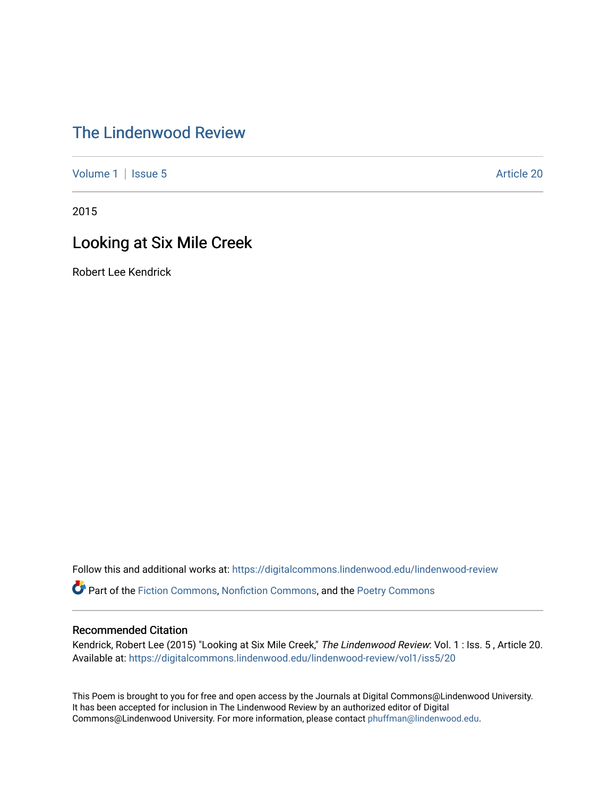## [The Lindenwood Review](https://digitalcommons.lindenwood.edu/lindenwood-review)

[Volume 1](https://digitalcommons.lindenwood.edu/lindenwood-review/vol1) | [Issue 5](https://digitalcommons.lindenwood.edu/lindenwood-review/vol1/iss5) Article 20

2015

## Looking at Six Mile Creek

Robert Lee Kendrick

Follow this and additional works at: [https://digitalcommons.lindenwood.edu/lindenwood-review](https://digitalcommons.lindenwood.edu/lindenwood-review?utm_source=digitalcommons.lindenwood.edu%2Flindenwood-review%2Fvol1%2Fiss5%2F20&utm_medium=PDF&utm_campaign=PDFCoverPages)

Part of the [Fiction Commons,](http://network.bepress.com/hgg/discipline/1151?utm_source=digitalcommons.lindenwood.edu%2Flindenwood-review%2Fvol1%2Fiss5%2F20&utm_medium=PDF&utm_campaign=PDFCoverPages) [Nonfiction Commons](http://network.bepress.com/hgg/discipline/1152?utm_source=digitalcommons.lindenwood.edu%2Flindenwood-review%2Fvol1%2Fiss5%2F20&utm_medium=PDF&utm_campaign=PDFCoverPages), and the [Poetry Commons](http://network.bepress.com/hgg/discipline/1153?utm_source=digitalcommons.lindenwood.edu%2Flindenwood-review%2Fvol1%2Fiss5%2F20&utm_medium=PDF&utm_campaign=PDFCoverPages)

## Recommended Citation

Kendrick, Robert Lee (2015) "Looking at Six Mile Creek," The Lindenwood Review: Vol. 1 : Iss. 5 , Article 20. Available at: [https://digitalcommons.lindenwood.edu/lindenwood-review/vol1/iss5/20](https://digitalcommons.lindenwood.edu/lindenwood-review/vol1/iss5/20?utm_source=digitalcommons.lindenwood.edu%2Flindenwood-review%2Fvol1%2Fiss5%2F20&utm_medium=PDF&utm_campaign=PDFCoverPages)

This Poem is brought to you for free and open access by the Journals at Digital Commons@Lindenwood University. It has been accepted for inclusion in The Lindenwood Review by an authorized editor of Digital Commons@Lindenwood University. For more information, please contact [phuffman@lindenwood.edu](mailto:phuffman@lindenwood.edu).